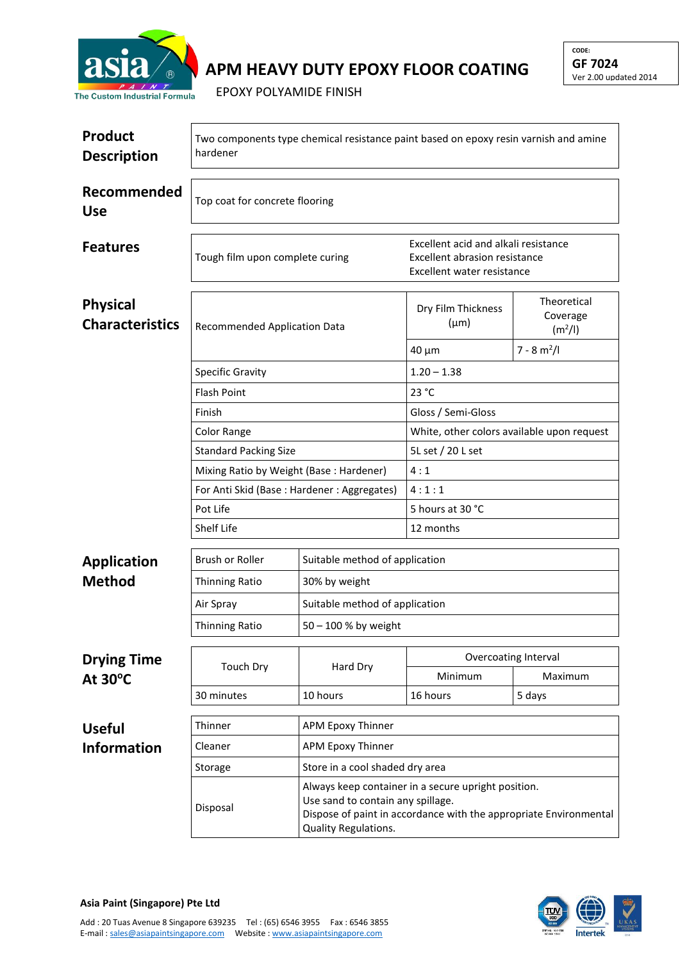

## **APM HEAVY DUTY EPOXY FLOOR COATING**

EPOXY POLYAMIDE FINISH

| <b>Product</b><br><b>Description</b>      | Two components type chemical resistance paint based on epoxy resin varnish and amine<br>hardener |                                                                                                                                                                                       |                                                                                                     |                                                |  |  |
|-------------------------------------------|--------------------------------------------------------------------------------------------------|---------------------------------------------------------------------------------------------------------------------------------------------------------------------------------------|-----------------------------------------------------------------------------------------------------|------------------------------------------------|--|--|
| Recommended<br><b>Use</b>                 | Top coat for concrete flooring                                                                   |                                                                                                                                                                                       |                                                                                                     |                                                |  |  |
| <b>Features</b>                           | Tough film upon complete curing                                                                  |                                                                                                                                                                                       | Excellent acid and alkali resistance<br>Excellent abrasion resistance<br>Excellent water resistance |                                                |  |  |
| <b>Physical</b><br><b>Characteristics</b> | Recommended Application Data                                                                     |                                                                                                                                                                                       | Dry Film Thickness<br>$(\mu m)$                                                                     | Theoretical<br>Coverage<br>(m <sup>2</sup> /I) |  |  |
|                                           |                                                                                                  |                                                                                                                                                                                       | $40 \mu m$                                                                                          | $7 - 8$ m <sup>2</sup> /l                      |  |  |
|                                           | <b>Specific Gravity</b>                                                                          |                                                                                                                                                                                       | $1.20 - 1.38$                                                                                       |                                                |  |  |
|                                           | <b>Flash Point</b>                                                                               |                                                                                                                                                                                       | 23 °C                                                                                               |                                                |  |  |
|                                           | Finish                                                                                           |                                                                                                                                                                                       | Gloss / Semi-Gloss                                                                                  |                                                |  |  |
|                                           | Color Range                                                                                      |                                                                                                                                                                                       | White, other colors available upon request                                                          |                                                |  |  |
|                                           | <b>Standard Packing Size</b>                                                                     |                                                                                                                                                                                       | 5L set / 20 L set                                                                                   |                                                |  |  |
|                                           | Mixing Ratio by Weight (Base: Hardener)                                                          |                                                                                                                                                                                       | 4:1                                                                                                 |                                                |  |  |
|                                           | For Anti Skid (Base: Hardener: Aggregates)                                                       |                                                                                                                                                                                       | 4:1:1                                                                                               |                                                |  |  |
|                                           | Pot Life                                                                                         |                                                                                                                                                                                       | 5 hours at 30 °C                                                                                    |                                                |  |  |
|                                           | Shelf Life                                                                                       |                                                                                                                                                                                       | 12 months                                                                                           |                                                |  |  |
| <b>Application</b>                        | Brush or Roller                                                                                  | Suitable method of application                                                                                                                                                        |                                                                                                     |                                                |  |  |
| <b>Method</b>                             | <b>Thinning Ratio</b>                                                                            | 30% by weight                                                                                                                                                                         |                                                                                                     |                                                |  |  |
|                                           | Air Spray                                                                                        | Suitable method of application                                                                                                                                                        |                                                                                                     |                                                |  |  |
|                                           | Thinning Ratio                                                                                   | 50 - 100 % by weight                                                                                                                                                                  |                                                                                                     |                                                |  |  |
|                                           |                                                                                                  | Hard Dry                                                                                                                                                                              | Overcoating Interval                                                                                |                                                |  |  |
| <b>Drying Time</b><br>At $30^{\circ}$ C   | <b>Touch Dry</b>                                                                                 |                                                                                                                                                                                       | Minimum                                                                                             | Maximum                                        |  |  |
|                                           | 30 minutes                                                                                       | 10 hours                                                                                                                                                                              | 16 hours                                                                                            | 5 days                                         |  |  |
|                                           |                                                                                                  |                                                                                                                                                                                       |                                                                                                     |                                                |  |  |
| <b>Useful</b>                             | Thinner                                                                                          | <b>APM Epoxy Thinner</b>                                                                                                                                                              |                                                                                                     |                                                |  |  |
| <b>Information</b>                        | Cleaner                                                                                          |                                                                                                                                                                                       | <b>APM Epoxy Thinner</b>                                                                            |                                                |  |  |
|                                           | Storage                                                                                          | Store in a cool shaded dry area                                                                                                                                                       |                                                                                                     |                                                |  |  |
|                                           | Disposal                                                                                         | Always keep container in a secure upright position.<br>Use sand to contain any spillage.<br>Dispose of paint in accordance with the appropriate Environmental<br>Quality Regulations. |                                                                                                     |                                                |  |  |